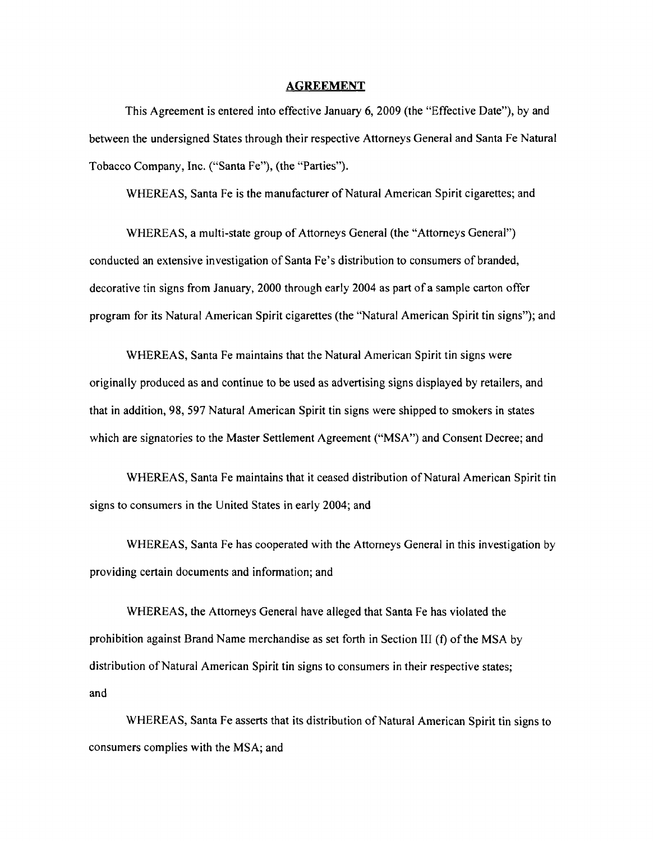#### **AGREEMENT**

This Agreement is entered into effective January 6, 2009 (the "Effective Date"), by and between the undersigned States through their respective Attorneys General and Santa Fe Natural Tobacco Company, Inc. ("Santa Fe"), (the "Parties").

WHEREAS, Santa Fe is the manufacturer of Natural American Spirit cigarettes; and

WHEREAS, a multi-state group of Attorneys General (the "Attorneys General") conducted an extensive investigation of Santa Fe's distribution to consumers of branded, decorative tin signs from January, 2000 through early 2004 as part of a sample carton offer program for its Natural American Spirit cigarettes (the "Natural American Spirit tin signs"); and

WHEREAS, Santa Fe maintains that the Natural American Spirit tin signs were originally produced as and continue to be used as advertising signs displayed by retailers, and that in addition, 98, 597 Natural American Spirit tin signs were shipped to smokers in states which are signatories to the Master Settlement Agreement ("MSA") and Consent Decree; and

WHEREAS, Santa Fe maintains that it ceased distribution of Natural American Spirit tin signs to consumers in the United States in early 2004; and

WHEREAS, Santa Fe has cooperated with the Attorneys General in this investigation by providing certain documents and information; and

WHEREAS, the Attorneys General have alleged that Santa Fe has violated the prohibition against Brand Name merchandise as set forth in Section III (f) of the MSA by distribution of Natural American Spirit tin signs to consumers in their respective states; and

WHEREAS, Santa Fe asserts that its distribution of Natural American Spirit tin signs to consumers complies with the MSA; and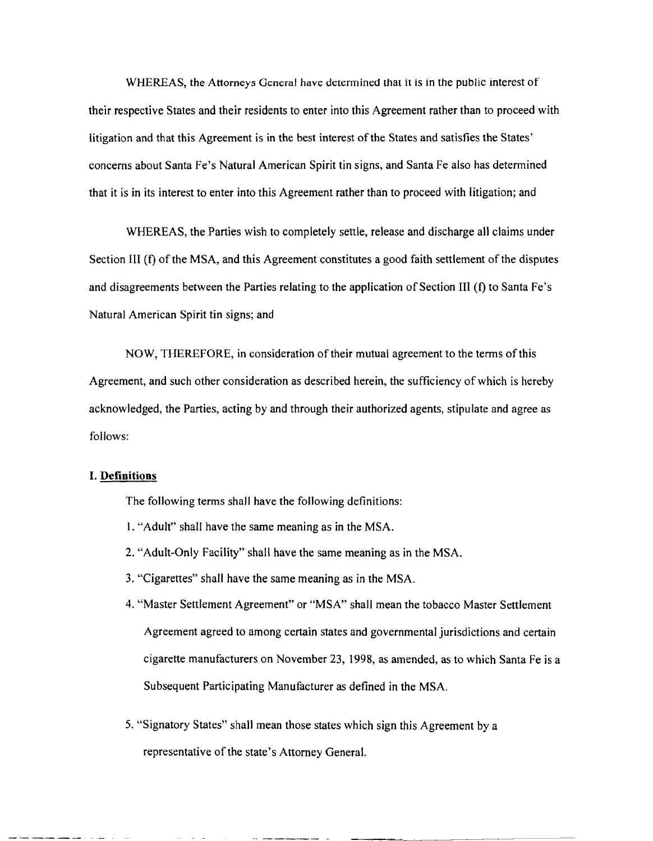WHEREAS, the Attorneys General have determined that it is in the public interest of their respective States and their residents to enter into this Agreement rather than to proceed with litigation and that this Agreement is in the best interest of the States and satisfies the States' concerns about Santa Fe's Natural American Spirit tin signs, and Santa Fe also has determined that it is in its interest to enter into this Agreement rather than to proceed with litigation; and

WHEREAS, the Parties wish to completely settle, release and discharge all claims under Section III (f) of the MSA, and this Agreement constitutes a good faith settlement of the disputes and disagreements between the Parties relating to the application of Section III (f) to Santa Fe's Natural American Spirit tin signs; and

NOW, THEREFORE, in consideration of their mutual agreement to the terms ofthis Agreement, and such other consideration as described herein, the sufficiency of which is hereby acknowledged, the Parties, acting by and through their authorized agents, stipulate and agree as follows:

#### **I. Definitions**

The following terms shall have the following definitions:

- 1. "Adult" shall have the same meaning as in the MSA.
- 2. "Adult-Only Facility" shall have the same meaning as in the MSA.
- 3. "Cigarettes" shall have the same meaning as in the MSA.
- 4. "Master Settlement Agreement" or "MSA" shall mean the tobacco Master Settlement Agreement agreed to among certain states and governmental jurisdictions and certain cigarette manufacturers on November 23, 1998, as amended, as to which Santa Fe is a Subsequent Participating Manufacturer as defined in the MSA.
- 5. "Signatory States" shall mean those states which sign this Agreement by a representative of the state's Attorney General.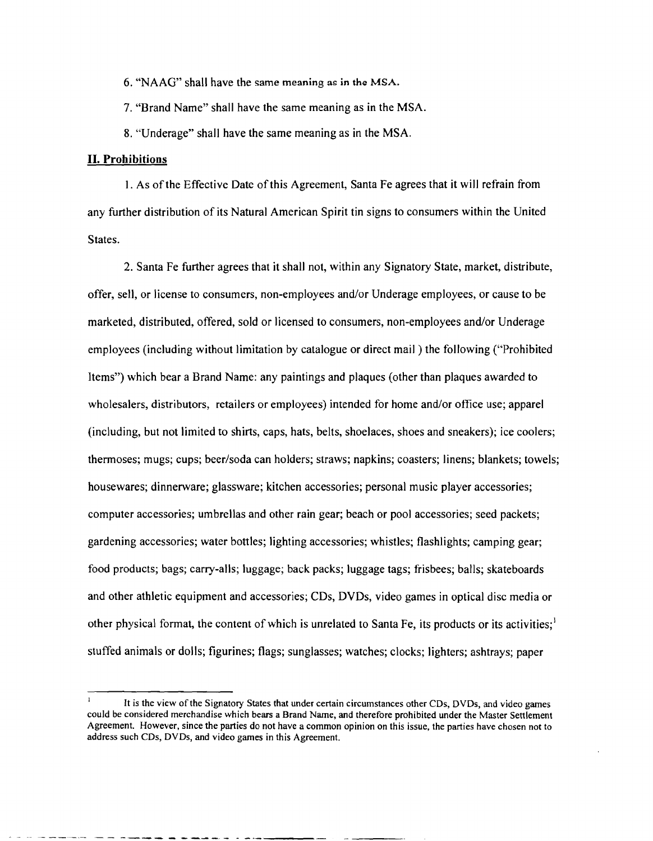6. "NAAG" shall have the same meaning as in the MSA.

7. "Brand Name" shall have the same meaning as in the MSA.

8. "Underage" shall have the same meaning as in the MSA.

#### **II. Prohibitions**

1. As ofthe Effective Date ofthis Agreement, Santa Fe agrees that it will refrain from any further distribution of its Natural American Spirit tin signs to consumers within the United States.

2. Santa Fe further agrees that it shall not, within any Signatory State, market, distribute, offer, sell, or license to consumers, non-employees and/or Underage employees, or cause to be marketed, distributed, offered, sold or licensed to consumers, non-employees and/or Underage employees (including without limitation by catalogue or direct mail) the following ("Prohibited Items") which bear a Brand Name: any paintings and plaques (other than plaques awarded to wholesalers, distributors, retailers or employees) intended for home and/or office use; apparel (including, but not limited to shirts, caps, hats, belts, shoelaces, shoes and sneakers); ice coolers; thermoses; mugs; cups; beer/soda can holders; straws; napkins; coasters; linens; blankets; towels; housewares; dinnerware; glassware; kitchen accessories; personal music player accessories; computer accessories; umbrellas and other rain gear; beach or pool accessories; seed packets; gardening accessories; water bottles; lighting accessories; whistles; flashlights; camping gear; food products; bags; carry-alls; luggage; back packs; luggage tags; frisbees; balls; skateboards and other athletic equipment and accessories; CDs, DVDs, video games in optical disc media or other physical format, the content of which is unrelated to Santa Fe, its products or its activities;  $\frac{1}{2}$ stuffed animals or dolls; figurines; flags; sunglasses; watches; clocks; lighters; ashtrays; paper

------- .\_- ---- - ---\_.- - \_.\_---

It is the view of the Signatory States that under certain circumstances other CDs, DVDs, and video games could be considered merchandise which bears a Brand Name, and therefore prohibited under the Master Settlement Agreement. However, since the parties do not have a common opinion on this issue, the parties have chosen not to address such CDs, DVDs, and video games in this Agreement.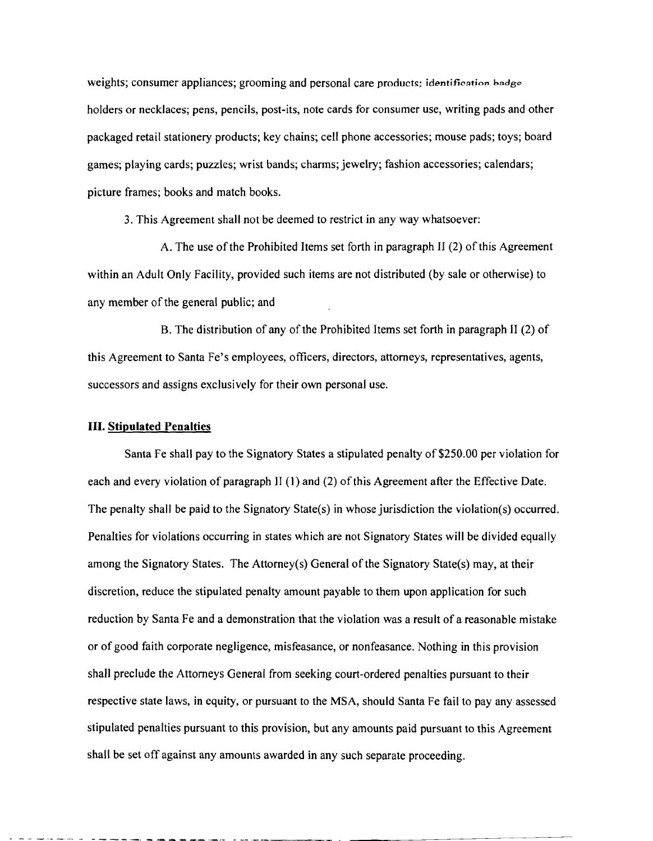weights; consumer appliances; grooming and personal care products; identification badge holders or necklaces; pens, pencils, post-its, note cards for consumer use, writing pads and other packaged retail stationery products; key chains; cell phone accessories; mouse pads; toys; board games; playing cards; puzzles; wrist bands; charms; jewelry; fashion accessories; calendars; picture frames; books and match books.

3. This Agreement shall not be deemed to restrict in any way whatsoever:

A. The use of the Prohibited Items set forth in paragraph II (2) of this Agreement within an Adult Only Facility, provided such items are not distributed (by sale or otherwise) to any member of the general public; and

B. The distribution of any of the Prohibited Items set forth in paragraph II (2) of this Agreement to Santa Fe's employees, officers, directors, attorneys, representatives, agents, successors and assigns exclusively for their own personal use.

#### **III. Stipulated Penalties**

Santa Fe shall pay to the Signatory States a stipulated penalty of \$250.00 per violation for each and every violation of paragraph II (1) and (2) of this Agreement after the Effective Date. The penalty shall be paid to the Signatory State(s) in whose jurisdiction the violation(s) occurred. Penalties for violations occurring in states which are not Signatory States will be divided equally among the Signatory States. The Attorney(s) General of the Signatory State(s) may, at their discretion, reduce the stipulated penalty amount payable to them upon application for such reduction by Santa Fe and a demonstration that the violation was a result of a reasonable mistake or of good faith corporate negligence, misfeasance, or nonfeasance. Nothing in this provision shall preclude the Attorneys General from seeking court-ordered penalties pursuant to their respective state laws, in equity, or pursuant to the MSA, should Santa Fe fail to pay any assessed stipulated penalties pursuant to this provision, but any amounts paid pursuant to this Agreement shall be set off against any amounts awarded in any such separate proceeding.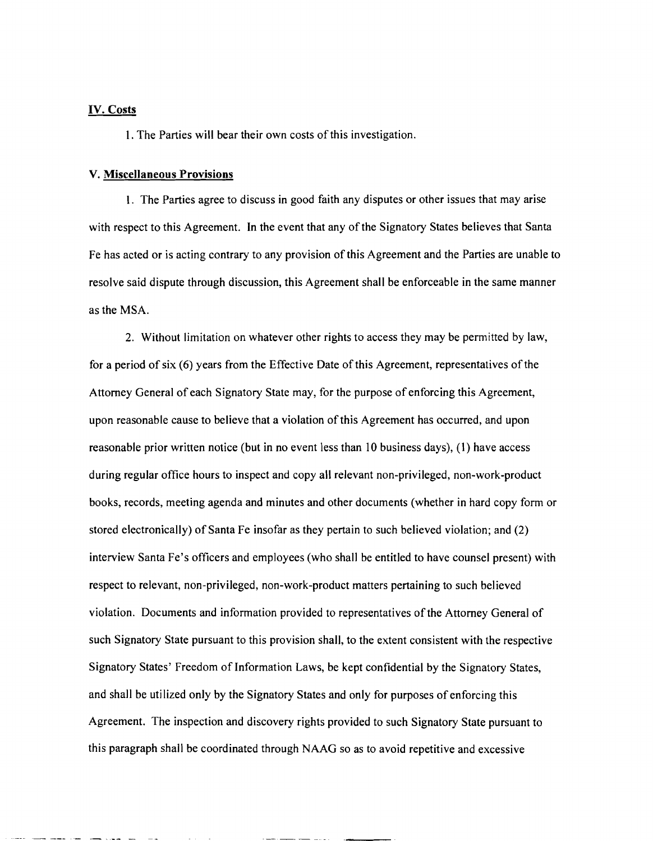#### IV. Costs

1. The Parties will bear their own costs of this investigation.

#### V. Miscellaneous Provisions

1. The Parties agree to discuss in good faith any disputes or other issues that may arise with respect to this Agreement. In the event that any of the Signatory States believes that Santa Fe has acted or is acting contrary to any provision of this Agreement and the Parties are unable to resolve said dispute through discussion, this Agreement shall be enforceable in the same manner as the MSA.

2. Without limitation on whatever other rights to access they may be permitted by law, for a period of six (6) years from the Effective Date of this Agreement, representatives of the Attorney General of each Signatory State may, for the purpose of enforcing this Agreement, upon reasonable cause to believe that a violation ofthis Agreement has occurred, and upon reasonable prior written notice (but in no event less than 10 business days), (1) have access during regular office hours to inspect and copy all relevant non-privileged, non-work-product books, records, meeting agenda and minutes and other documents (whether in hard copy form or stored electronically) of Santa Fe insofar as they pertain to such believed violation; and (2) interview Santa Fe's officers and employees (who shall be entitled to have counsel present) with respect to relevant, non-privileged, non-work-product matters pertaining to such believed violation. Documents and information provided to representatives ofthe Attorney General of such Signatory State pursuant to this provision shall, to the extent consistent with the respective Signatory States' Freedom of Information Laws, be kept confidential by the Signatory States, and shall be utilized only by the Signatory States and only for purposes of enforcing this Agreement. The inspection and discovery rights provided to such Signatory State pursuant to this paragraph shall be coordinated through NAAG so as to avoid repetitive and excessive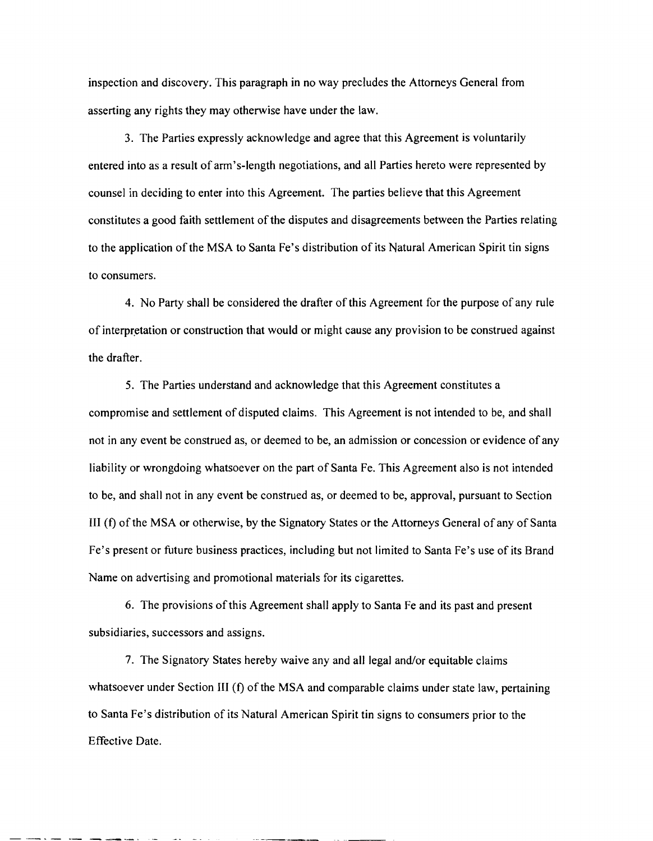inspection and discovery. This paragraph in no way precludes the Attorneys General from asserting any rights they may otherwise have under the law.

3. The Parties expressly acknowledge and agree that this Agreement is voluntarily entered into as a result of arm's-length negotiations, and all Parties hereto were represented by counsel in deciding to enter into this Agreement. The parties believe that this Agreement constitutes a good faith settlement of the disputes and disagreements between the Parties relating to the application of the MSA to Santa Fe's distribution of its Natural American Spirit tin signs to consumers.

4. No Party shall be considered the drafter of this Agreement for the purpose of any rule of interpretation or construction that would or might cause any provision to be construed against the drafter.

5. The Parties understand and acknowledge that this Agreement constitutes a compromise and settlement of disputed claims. This Agreement is not intended to be, and shall not in any event be construed as, or deemed to be, an admission or concession or evidence of any liability or wrongdoing whatsoever on the part of Santa Fe. This Agreement also is not intended to be, and shall not in any event be construed as, or deemed to be, approval, pursuant to Section III (f) ofthe MSA or otherwise, by the Signatory States or the Attorneys General of any of Santa Fe's present or future business practices, including but not limited to Santa Fe's use of its Brand Name on advertising and promotional materials for its cigarettes.

6. The provisions ofthis Agreement shall apply to Santa Fe and its past and present subsidiaries, successors and assigns.

7. The Signatory States hereby waive any and all legal and/or equitable claims whatsoever under Section III (f) of the MSA and comparable claims under state law, pertaining to Santa Fe's distribution of its Natural American Spirit tin signs to consumers prior to the Effective Date.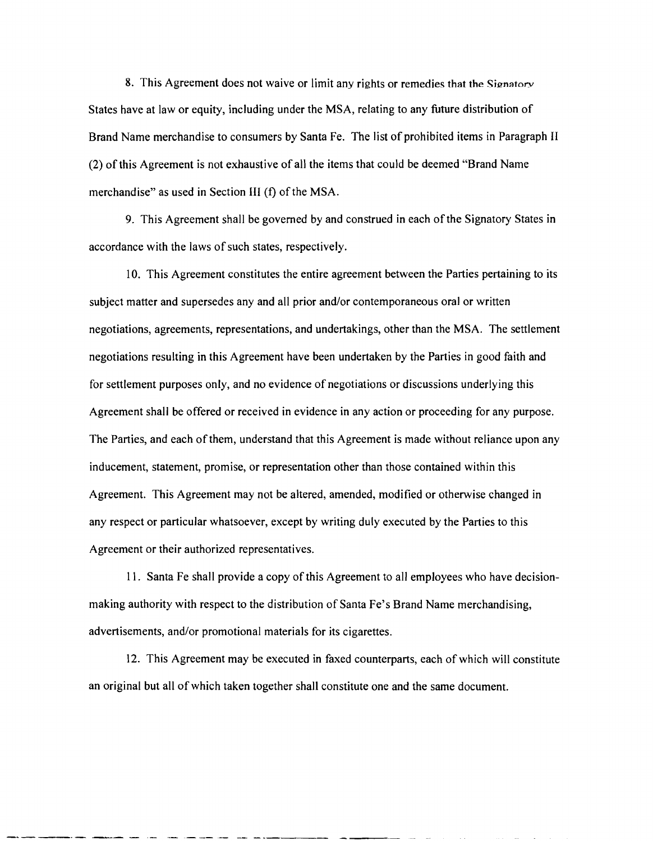8. This Agreement does not waive or limit any rights or remedies that the Signatory States have at law or equity, including under the MSA, relating to any future distribution of Brand Name merchandise to consumers by Santa Fe. The list of prohibited items in Paragraph II (2) of this Agreement is not exhaustive of all the items that could be deemed "Brand Name merchandise" as used in Section III (f) of the MSA.

9. This Agreement shall be governed by and construed in each of the Signatory States in accordance with the laws of such states, respectively.

10. This Agreement constitutes the entire agreement between the Parties pertaining to its subject matter and supersedes any and all prior and/or contemporaneous oral or written negotiations, agreements, representations, and undertakings, other than the MSA. The settlement negotiations resulting in this Agreement have been undertaken by the Parties in good faith and for settlement purposes only, and no evidence of negotiations or discussions underlying this Agreement shall be offered or received in evidence in any action or proceeding for any purpose. The Parties, and each of them, understand that this Agreement is made without reliance upon any inducement, statement, promise, or representation other than those contained within this Agreement. This Agreement may not be altered, amended, modified or otherwise changed in any respect or particular whatsoever, except by writing duly executed by the Parties to this Agreement or their authorized representatives.

II. Santa Fe shall provide a copy of this Agreement to all employees who have decisionmaking authority with respect to the distribution of Santa Fe's Brand Name merchandising, advertisements, and/or promotional materials for its cigarettes.

12. This Agreement may be executed in faxed counterparts, each of which will constitute an original but all of which taken together shall constitute one and the same document.

--------- - .- .\_----- - ------ ---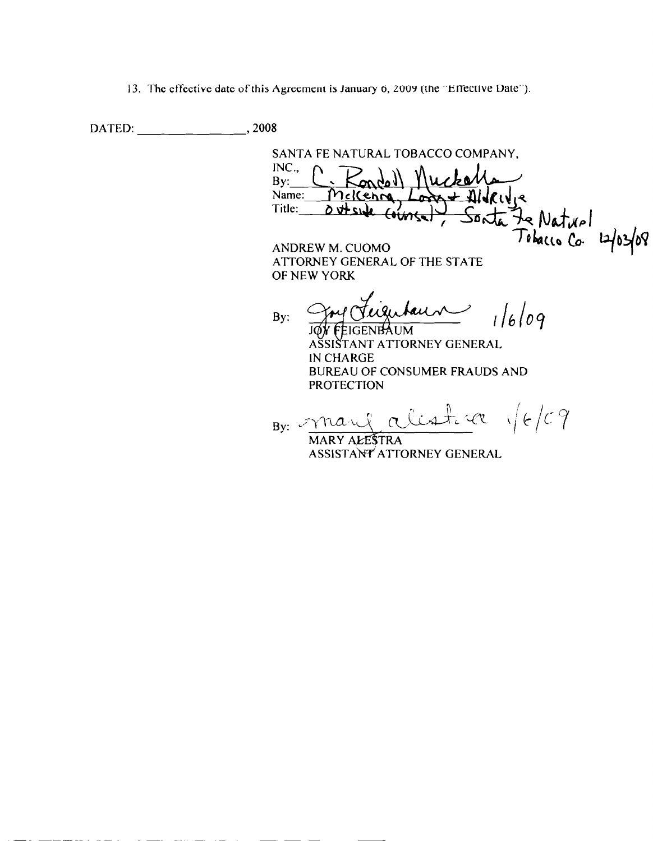13. The effective date of this Agreement is January 6, 2009 (the "Effective Date").

DATED: 2008

SANTA FE NATURAL TOBACCO COMPANY,  $INC.,$  $By:$ Name: Mekenne Title: Sonta Je Naturl<br>Tobacco Co. 12/03/08  $d$  side  $f_{\text{turb}}$ ANDREW M. CUOMO

ATTORNEY GENERAL OF THE STATE OF NEW YORK

 $1/6/09$ au By: IGENBAUM.

SIŠTANT ATTORNEY GENERAL IN CHARGE **BUREAU OF CONSUMER FRAUDS AND PROTECTION** 

alistik 1/6/09 By:  $\mathscr{I}$ man MARY ALESTRA

ASSISTANT ATTORNEY GENERAL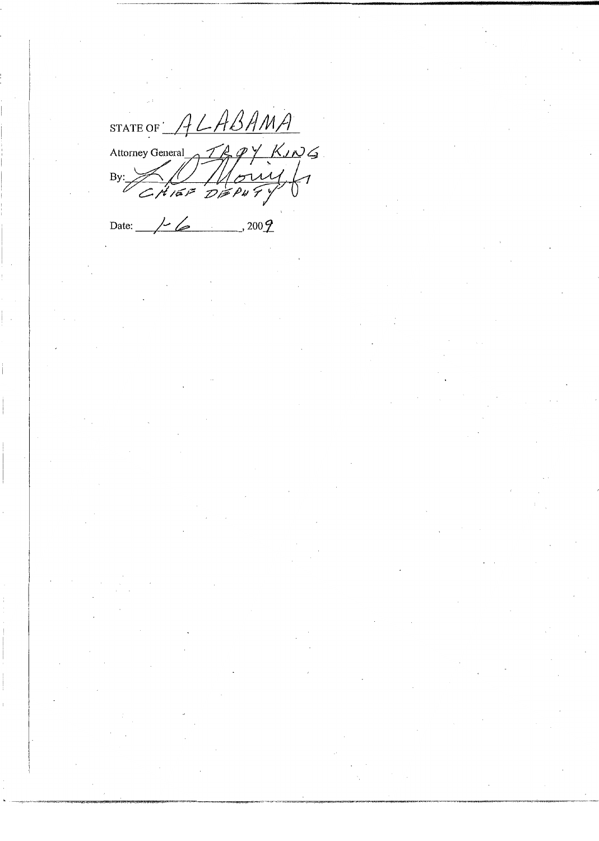STATE OF ALABAMA Attorney General TR 9 Y KING

Date:  $/6$ , 2009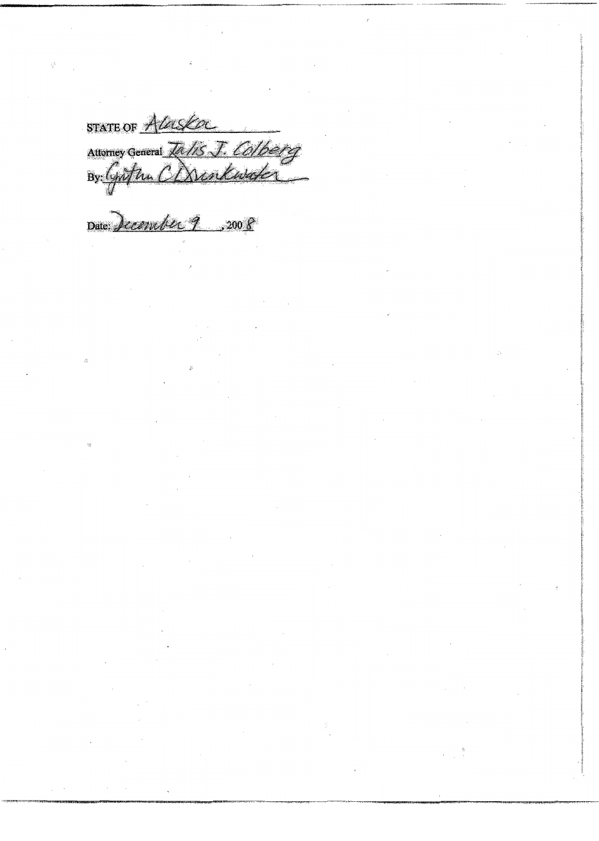STATE OF ALaska Attorney General Talis J. Colberg

Date: December 9, 2008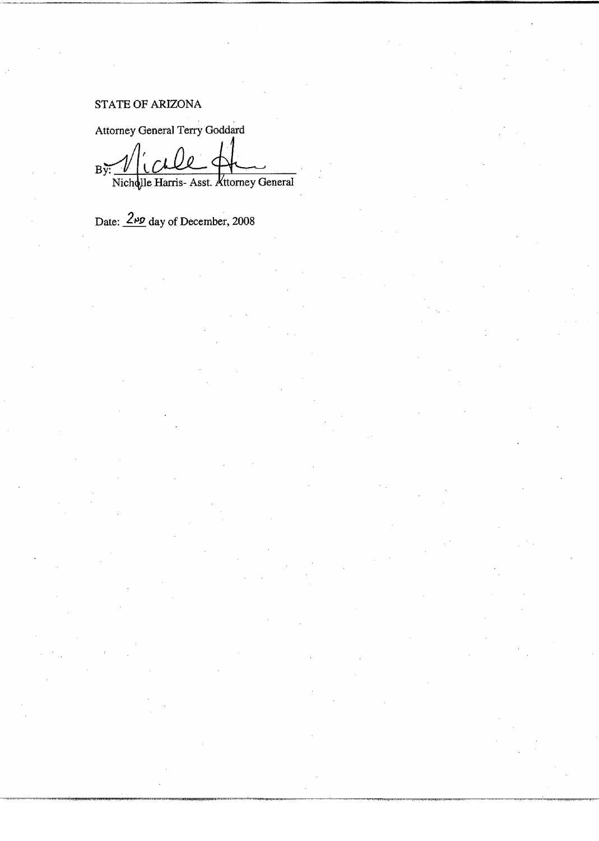# STATE OF ARIZONA

Attorney General Terry Goddard  $B\tilde{y}$ Nichqlle Harris- Asst. Attorney General

Date:  $\frac{2 \mu p}{2}$  day of December, 2008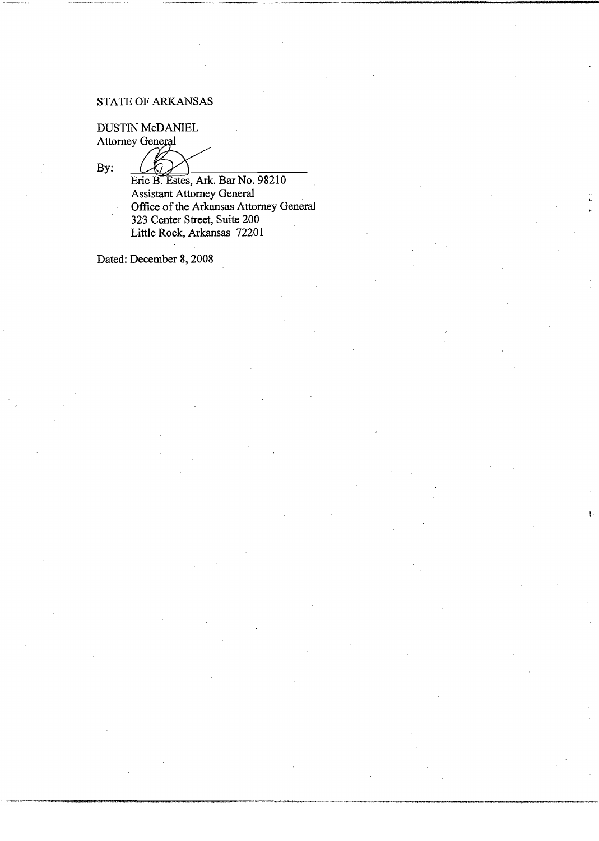### STATE OF ARKANSAS

DUSTIN McDANIEL Attorney General

By:

Eric B. Estes, Ark. Bar No. 98210 Assistant Attorney General Office of the Arkansas Attorney General 323 Center Street, Suite 200 Little Rock, Arkansas 72201

Dated: December 8, 2008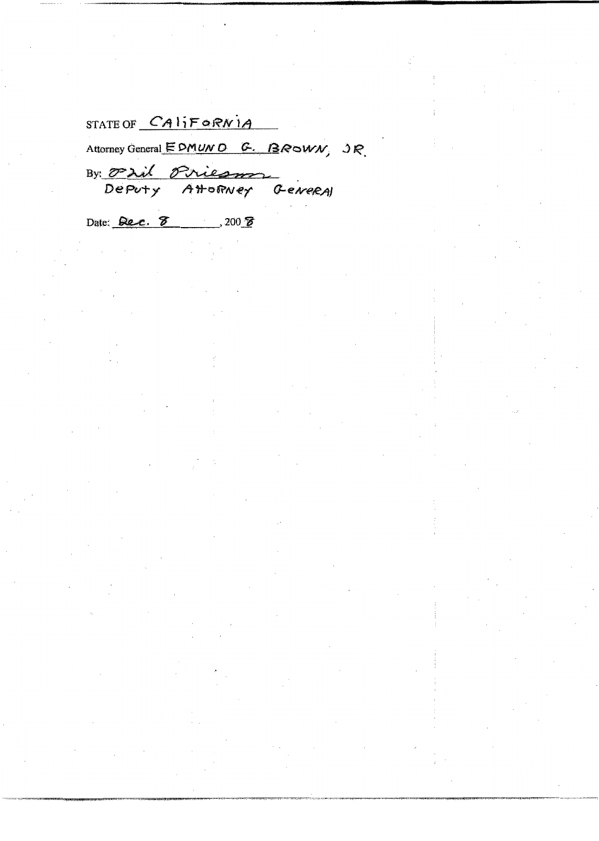STATE OF CALIFORNIA

Attorney General EDMUND G. BROWN, JR.

By Oril Priesm Deputy

AHORNEY GENERAL

Date: Rec. 8 300 8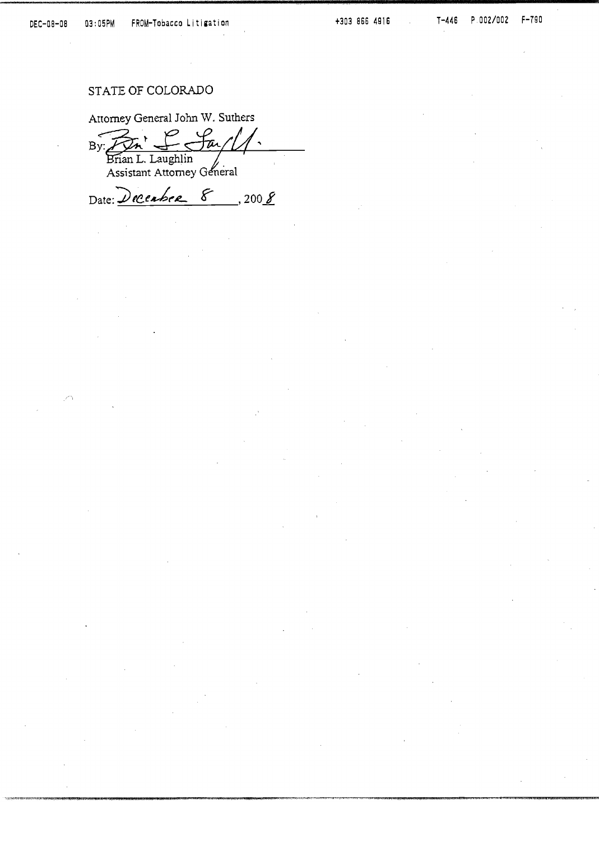### STATE OF COLORADO

Attorney General John W. Suthers

 $\n By: \overbrace{Dn}^{\dagger} \xrightarrow{C} C$  $P$  fail  $\overline{\phantom{a}}$ 

Assistant Attorney General

Date: Decembre 8, 2008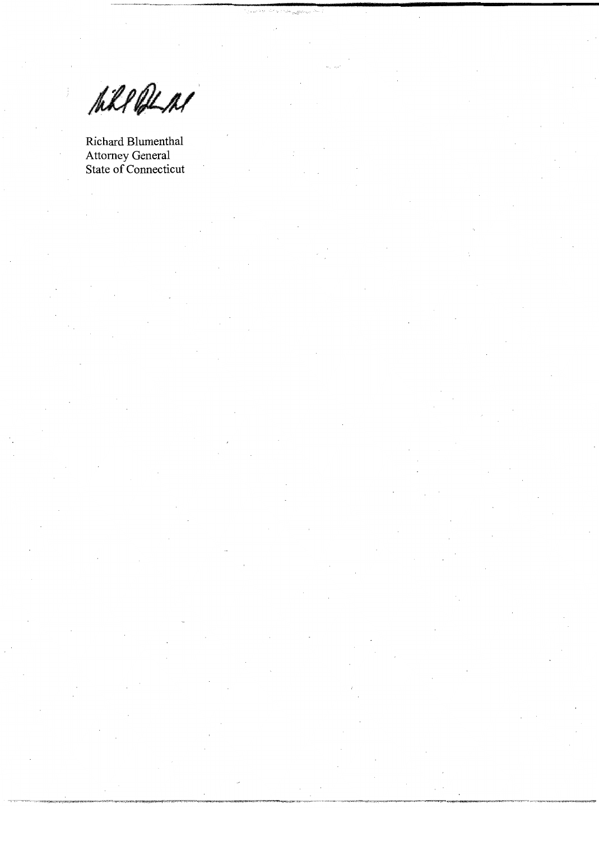Will ALM

Richard Blumenthal Attorney General<br>State of Connecticut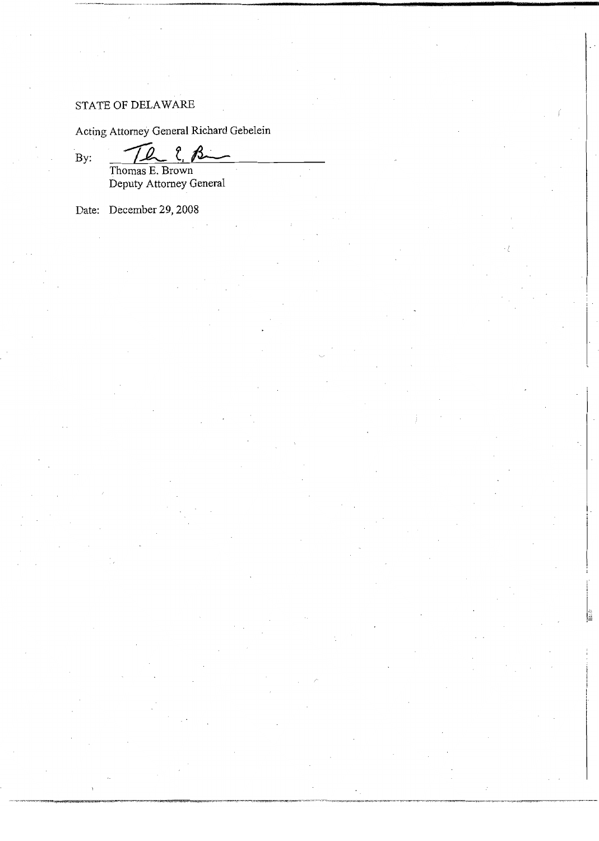### STATE OF DELAWARE

Acting Attorney General Richard Gebelein

 $\mathbf{By:}$ 

 $2.8$ Thomas E. Brown<br>Deputy Attorney General

Date: December 29, 2008

TQ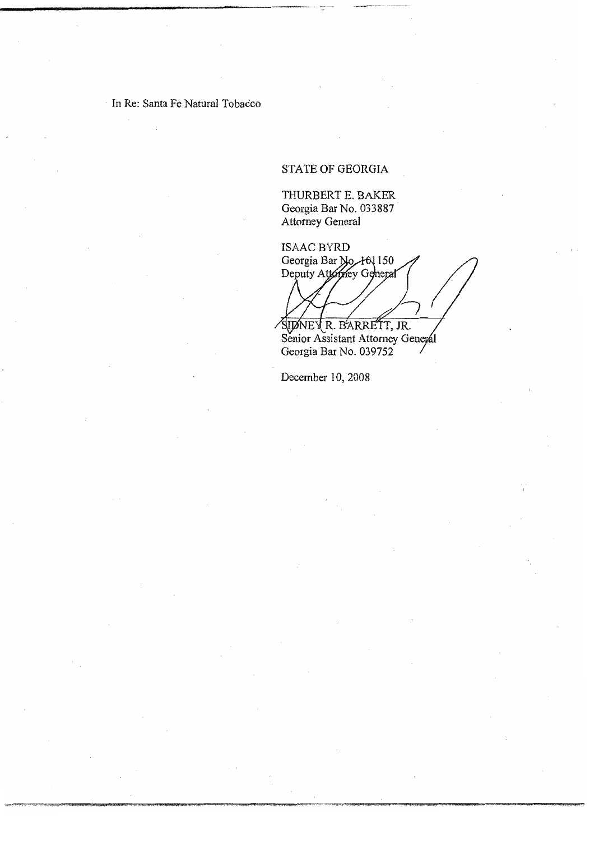In Re: Santa Fe Natural Tobacco

# STATE OF GEORGIA

THURBERT E. BAKER Georgia Bar No. 033887 Attorney General

**ISAAC BYRD** Georgia Bar No. 101 150<br>Deputy Attorney General

SUDNEY R. BARRETT, JR. Georgia Bar No. 039752

December 10, 2008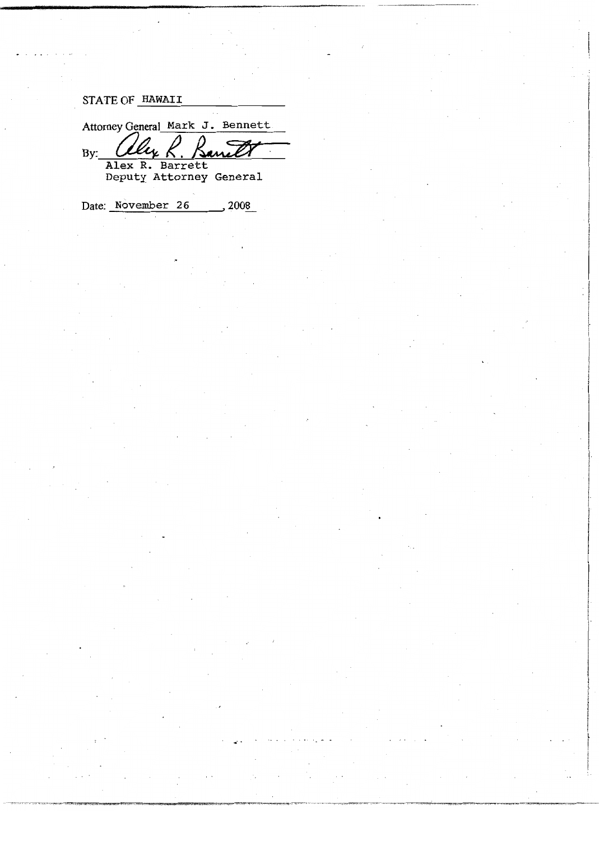# STATE OF HAWAII

Attorney General Mark J. Bennett  $By:$  $\boldsymbol{\iota}_{\boldsymbol{\iota}}$ uril Alex R. Barrett<br>Deputy Attorney General

Date: November 26  $, 2008$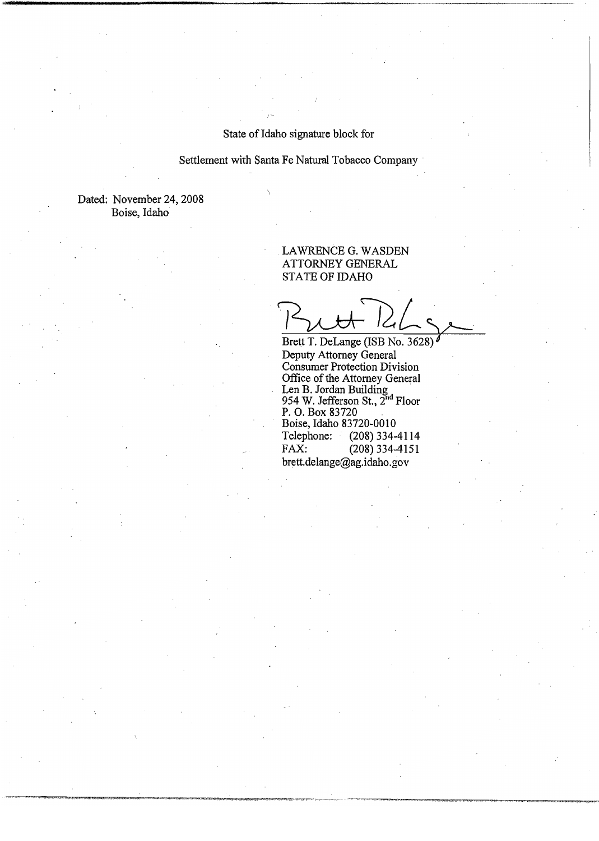### State of Idaho signature block for

#### Settlement with Santa Fe Natural Tobacco Company

Dated: November 24, 2008 Boise, Idaho

### LAWRENCE G. WASDEN ATTORNEY GENERAL STATE OF IDAHO

Brett T. DeLange (ISB No. 3628) Deputy Attorney General Deputy Attorney General<br>Consumer Protection Division<br>Office of the Attorney General<br>Len B. Jordan Building<br>954 W. Jefferson St., 2<sup>nd</sup> Floor<br>P. O. Box 83720<br>Boise, Idaho 83720-0010 Telephone:  $(208)$  334-4114 FAX:  $(208)$  334-4151 brett.delange@ag.idaho.gov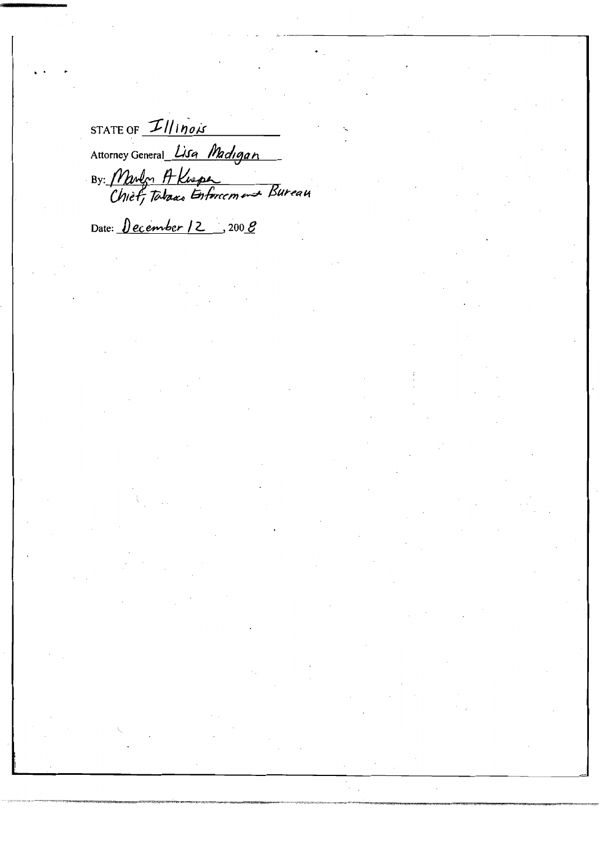STATE OF  $I|$  inois Attorney General Lisa Madigan By: Many A Knepe

Date:  $December 12$ , 200  $B$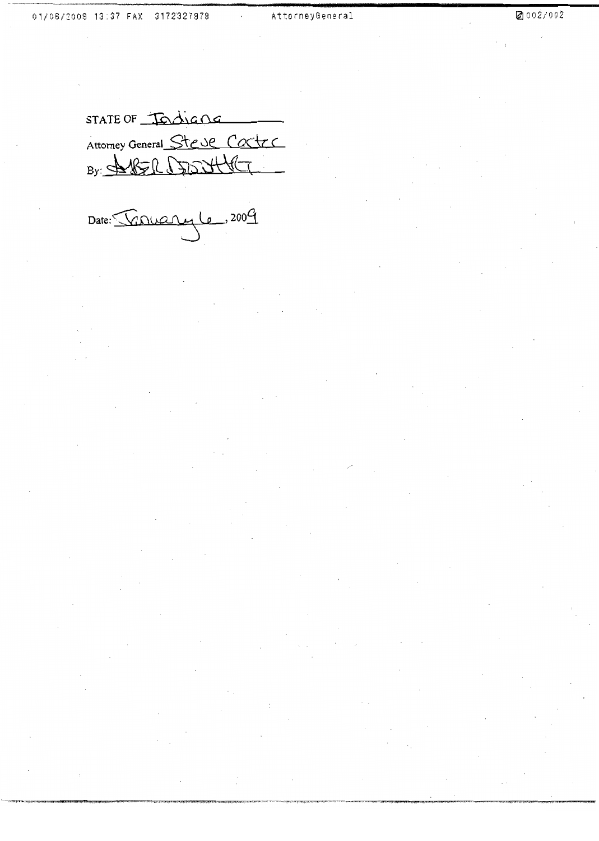STATE OF Todiana Attorney General Steve Castes By: SUBSIC C300446

Date: Converte, 2009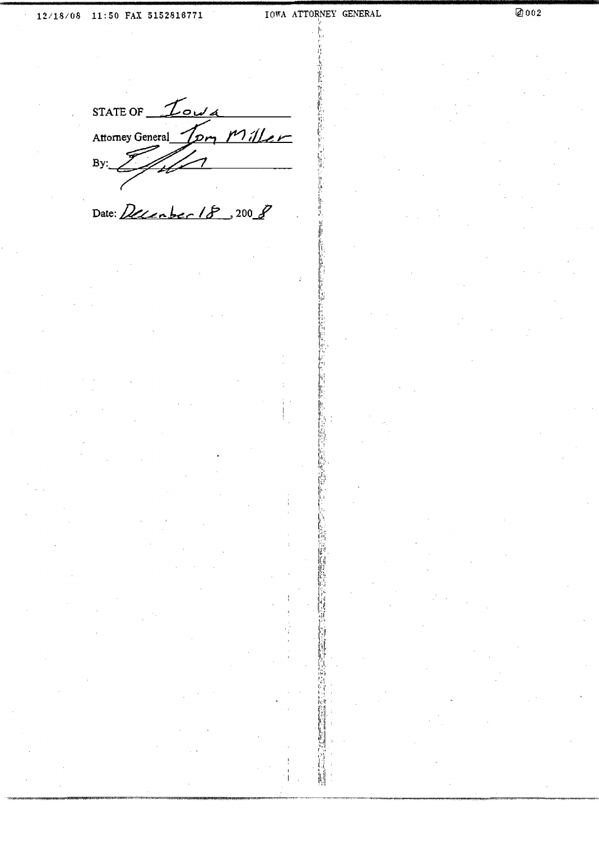STATE OF  $I_{\text{out}}$ om Miller Attorney General By:

Date: December 18, 200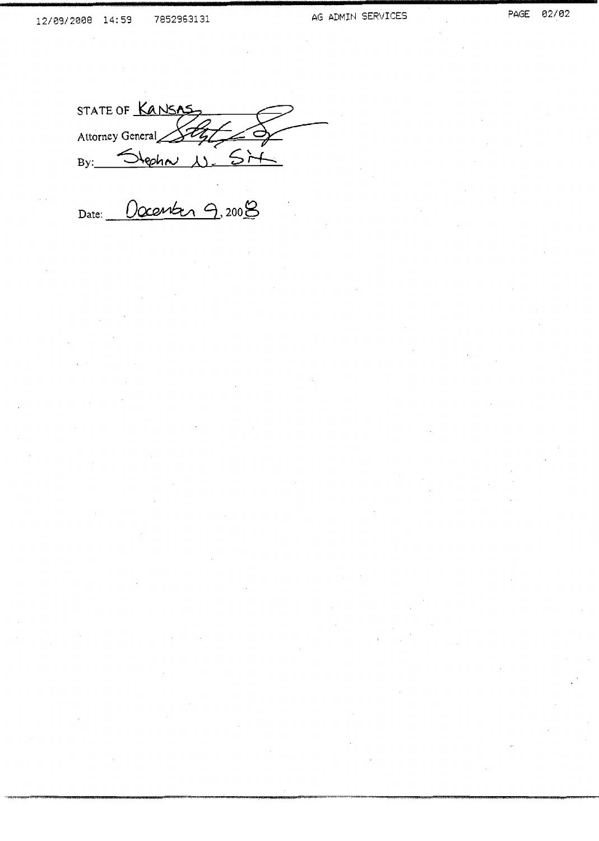STATE OF KANSAS Attorney General Style By: Stepha N. Sim

Date: Occanber 9,2008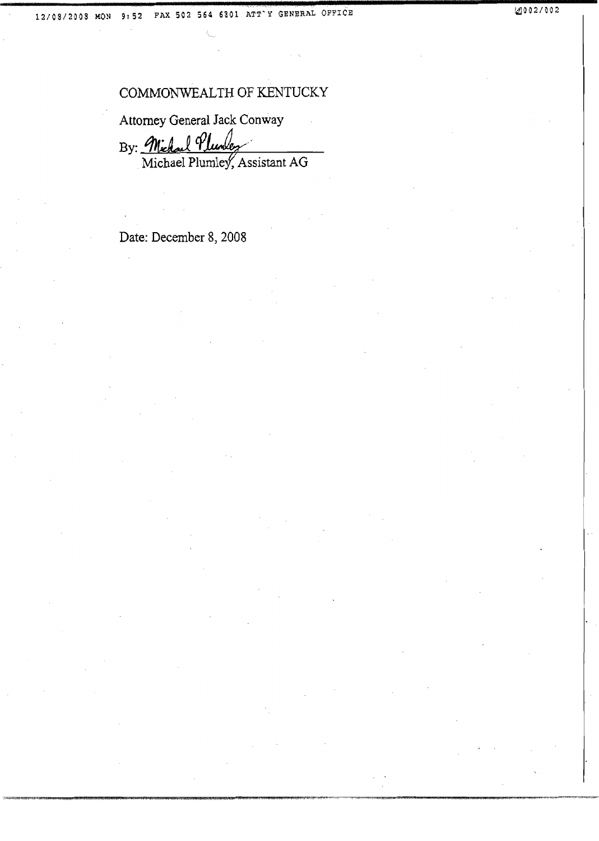# COMMONWEALTH OF KENTUCKY

Attorney General Jack Conway

By: Michael Pluntez Michael Plumley, Assistant AG

Date: December 8, 2008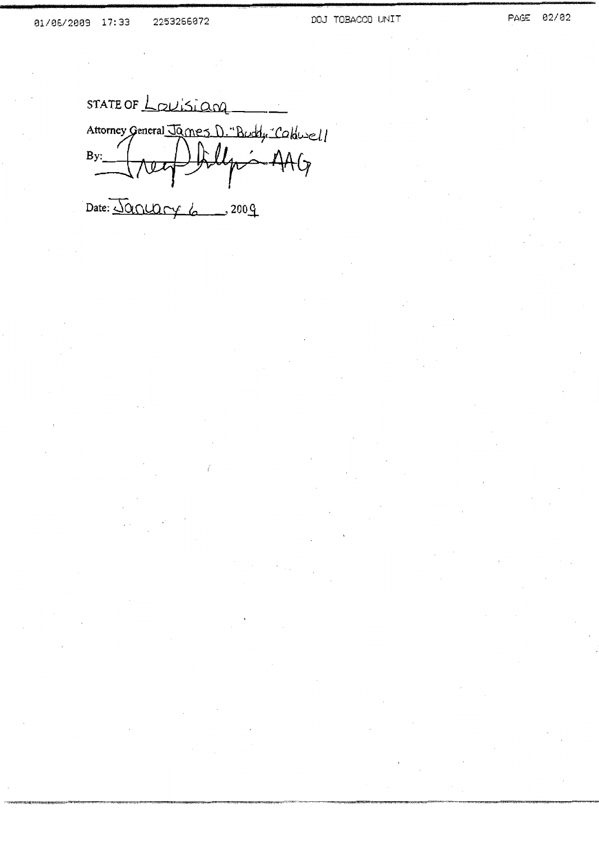STATE OF Louisian Attorney General James D. "Buddy "Coldwell July - AAG  $By:$ 

Date: January 6  $-$ , 200 $\frac{0}{1}$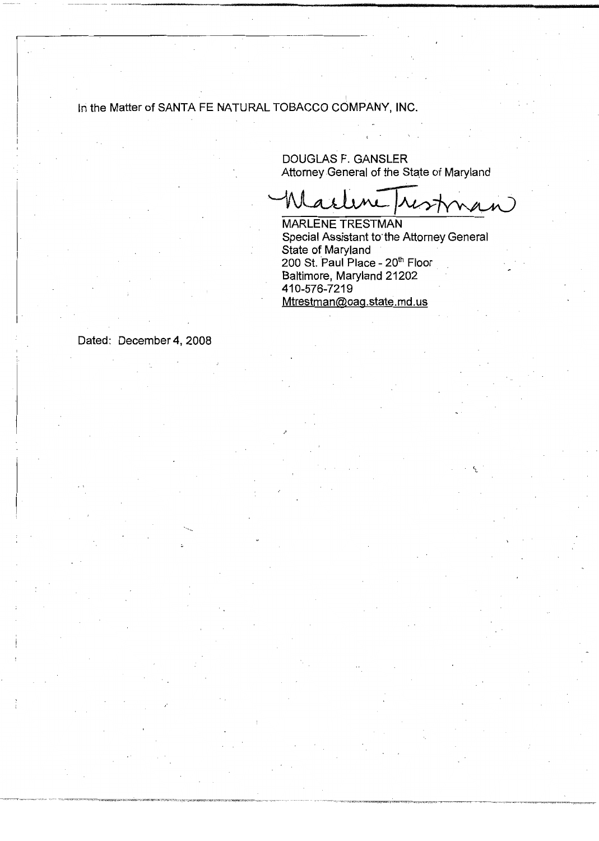# In the Matter of SANTA FE NATURAL TOBACCO COMPANY, INC.

**DOUGLAS F. GANSLER** Attorney General of the State of Maryland

 $\mathcal{N}$  $\lambda$ )

**MARLENE TRESTMAN** Special Assistant to the Attorney General State of Maryland 200 St. Paul Place - 20th Floor Baltimore, Maryland 21202 410-576-7219 Mtrestman@oag.state.md.us

Dated: December 4, 2008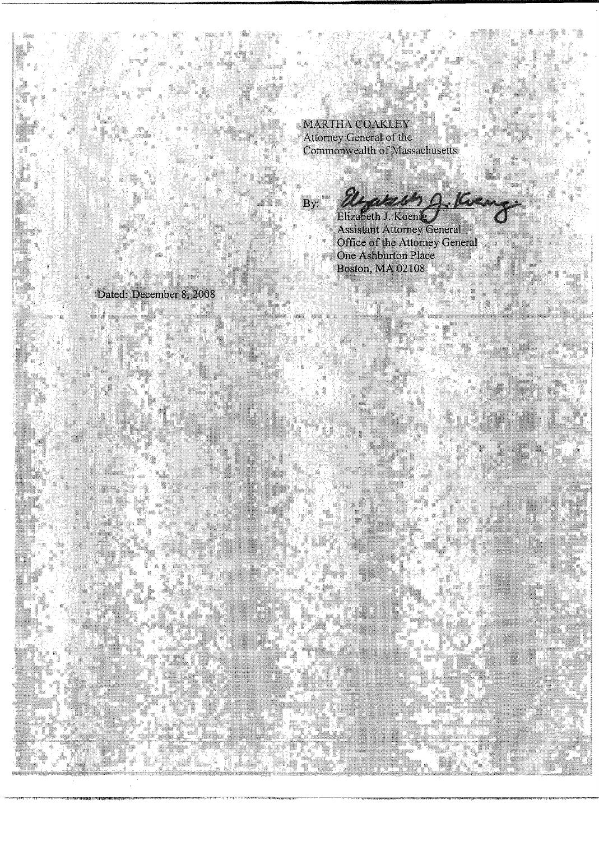MARTHA COAKLEY Attorney General of the<br>Commonwealth of Massachusetts

atech Q.K.  $\mathbf{R}$ Elizabeth J. Koenig

Assistant Attorney General<br>Office of the Attorney General<br>One Ashburton Place<br>Boston, MA 02108

# Dated: December 8, 2008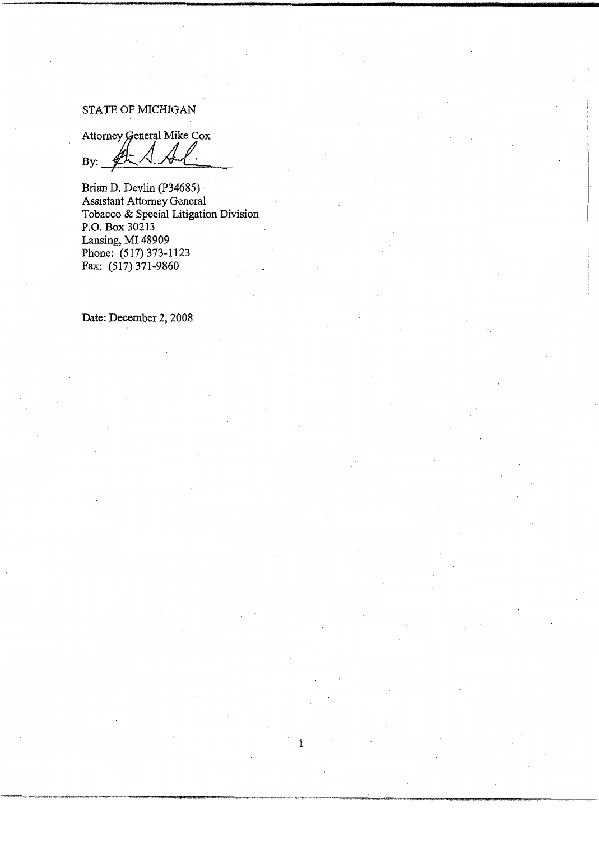### STATE OF MICHIGAN

Attorney General Mike Cox

By:

Brian D. Devlin (P34685) **Assistant Attorney General** Tobacco & Special Litigation Division P.O. Box 30213 Lansing, MI 48909 Phone: (517) 373-1123 Fax: (517) 371-9860

 $\mathbf{1}$ 

Date: December 2, 2008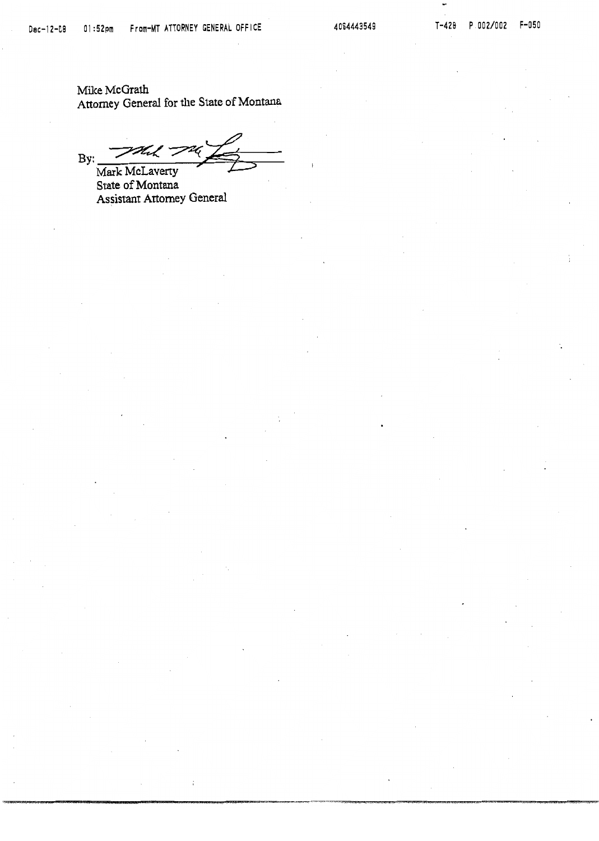Mike McGrath Attorney General for the State of Montana

4 ー  $By:$ Mark McLaverty

State of Montana Assistant Attorney General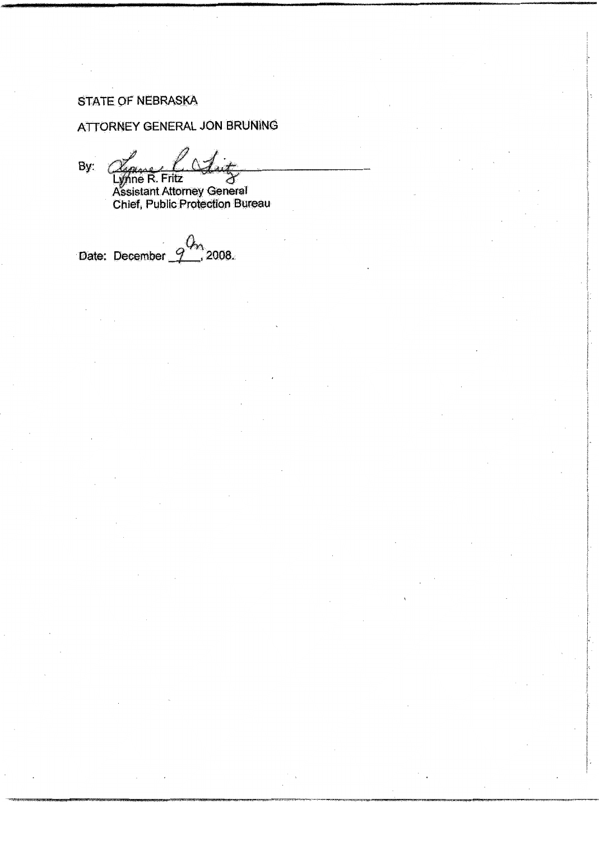### STATE OF NEBRASKA

### ATTORNEY GENERAL JON BRUNING

By:

Lynne R. Fritz<br>Assistant Attorney General<br>Chief, Public Protection Bureau

 $\int_{0}^{3}$  2008. Date: December  $\mathcal{G}$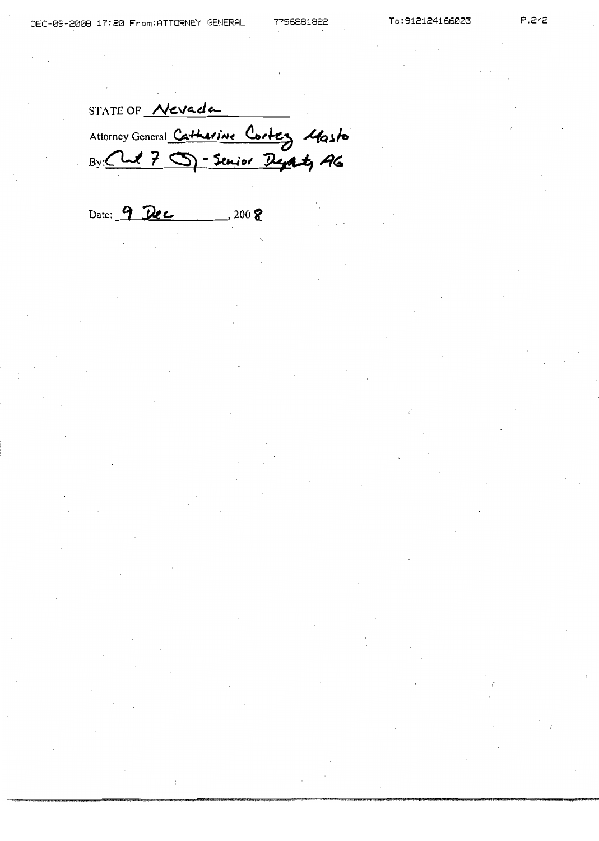P.2/2

STATE OF Nevada Attorney General Catherine Cortez Masto

Date: 9 Dec  $-200$   $\Omega$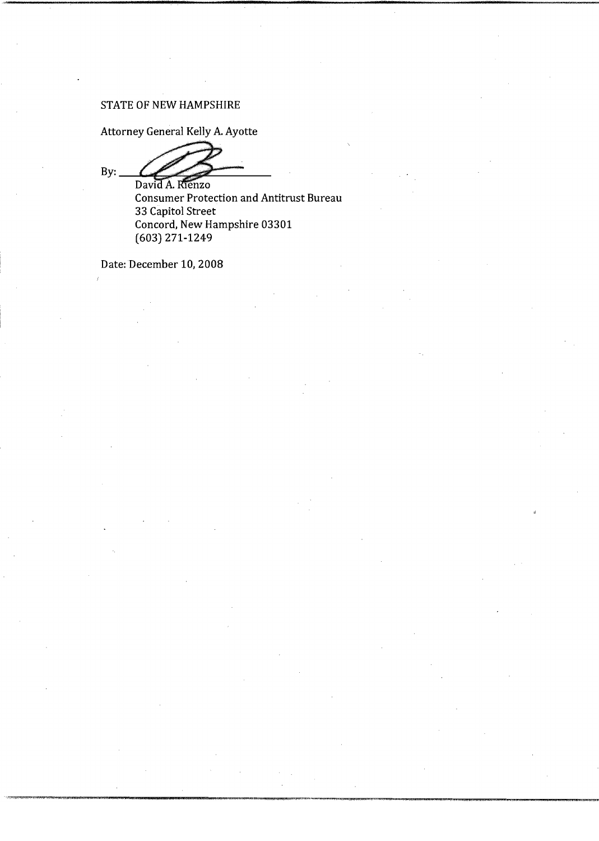### STATE OF NEW HAMPSHIRE

Attorney General Kelly A. Ayotte

 $By:$ David A. Rienzo

**Consumer Protection and Antitrust Bureau** 33 Capitol Street Concord, New Hampshire 03301  $(603)$  271-1249

Date: December 10, 2008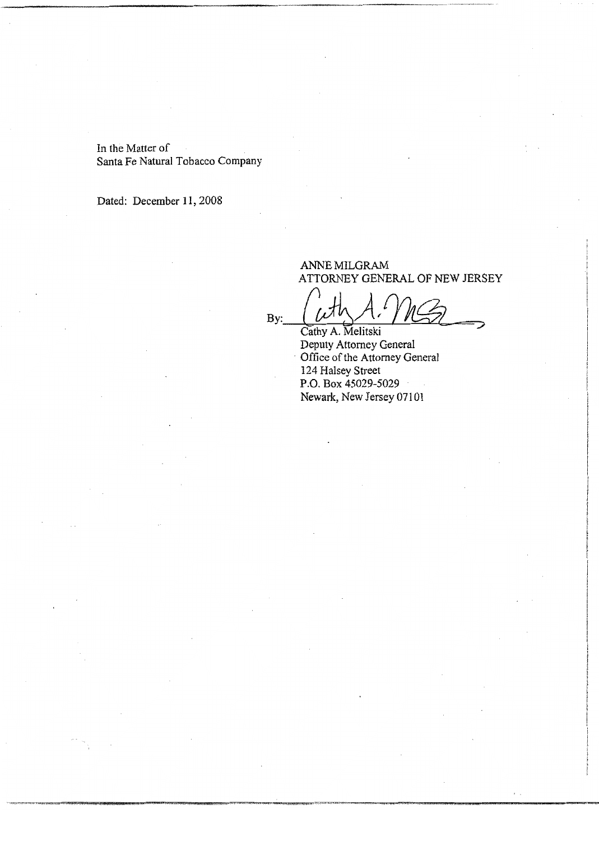In the Matter of Santa Fe Natural Tobacco Company

Dated: December 11, 2008

### ANNE MILGRAM ATTORNEY GENERAL OF NEW JERSEY

Cathy A. Melitski Deputy Attorney General<br>Office of the Attorney General 124 Halsey Street P.O. Box 45029-5029 Newark, New Jersey 07101

 $By:$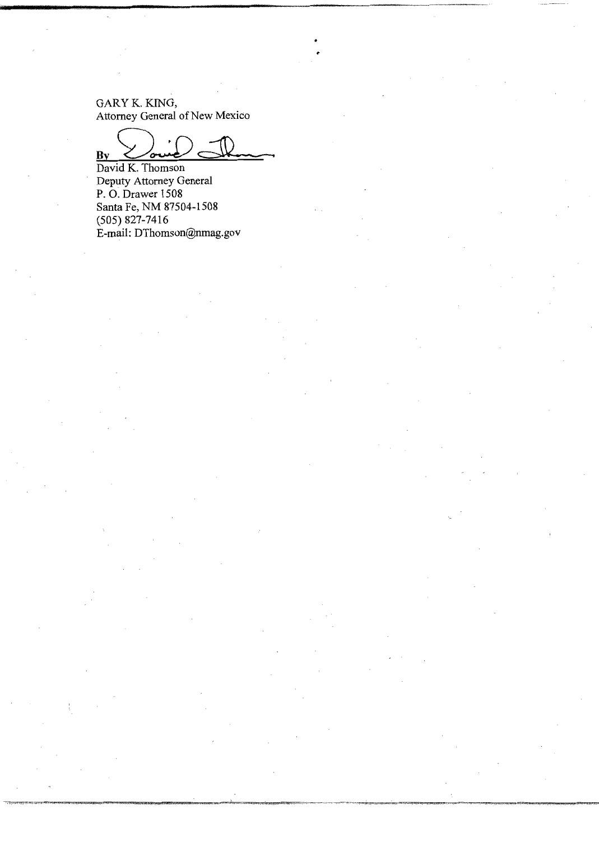GARY K. KING,<br>Attorney General of New Mexico

 $\mathbf{By}$ 

David K. Thomson Deputy Attorney General P.O. Drawer 1508 Santa Fe, NM 87504-1508  $(505)$  827-7416 E-mail: DThomson@nmag.gov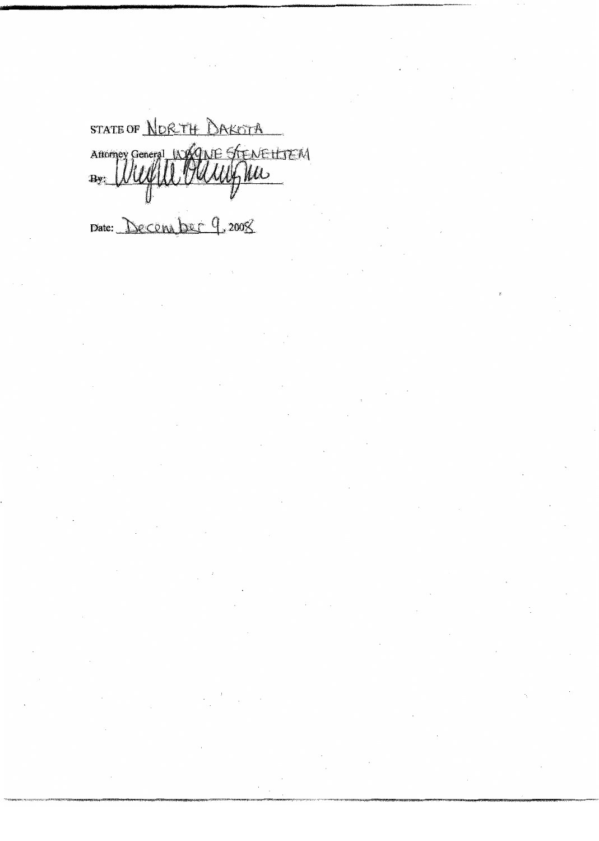STATE OF NORTH DAKOTA Attorney General WAGNE STENETLIEN  $\overline{\mathbf{B}}$ y

Date: December 9, 2008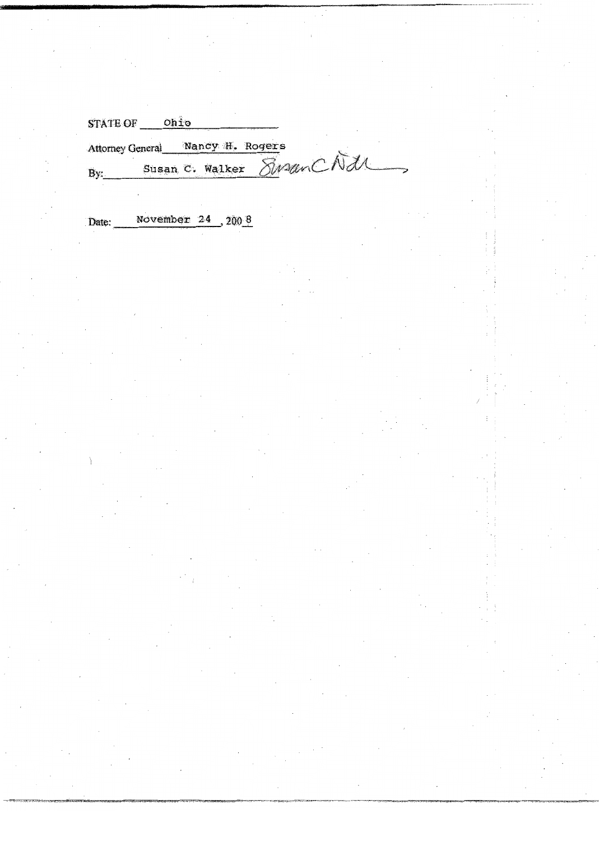| <b>STATE OF</b>         | Ohio |                          |  |  |
|-------------------------|------|--------------------------|--|--|
| <b>Attorney General</b> |      | Nancy H. Rogers          |  |  |
| By:                     |      | Susan C. Walker SweenCNd |  |  |

November  $24$ ,  $200\frac{8}{3}$ Date: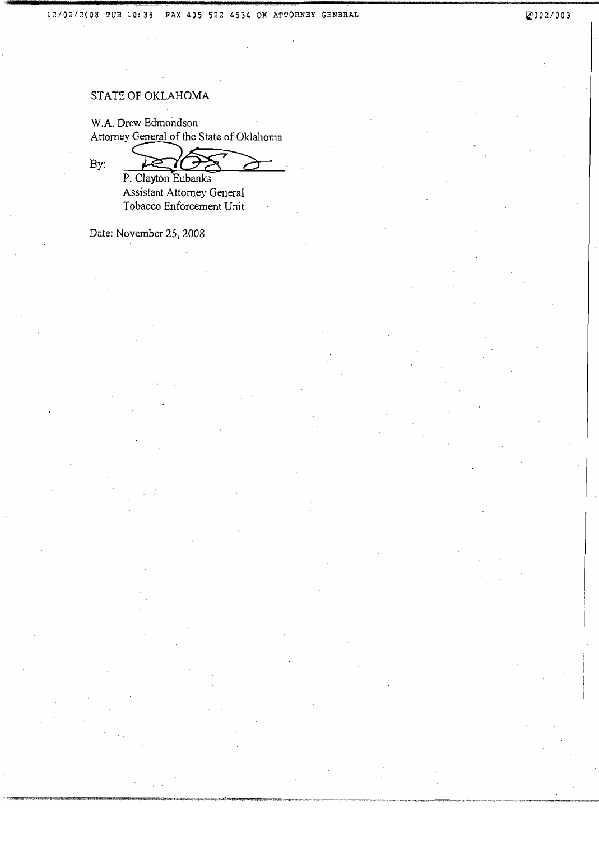## STATE OF OKLAHOMA

W.A. Drew Edmondson Attorney General of the State of Oklahoma

By: ≈

P. Clayton Eubanks Assistant Attorney General Tobacco Enforcement Unit

Date: November 25, 2008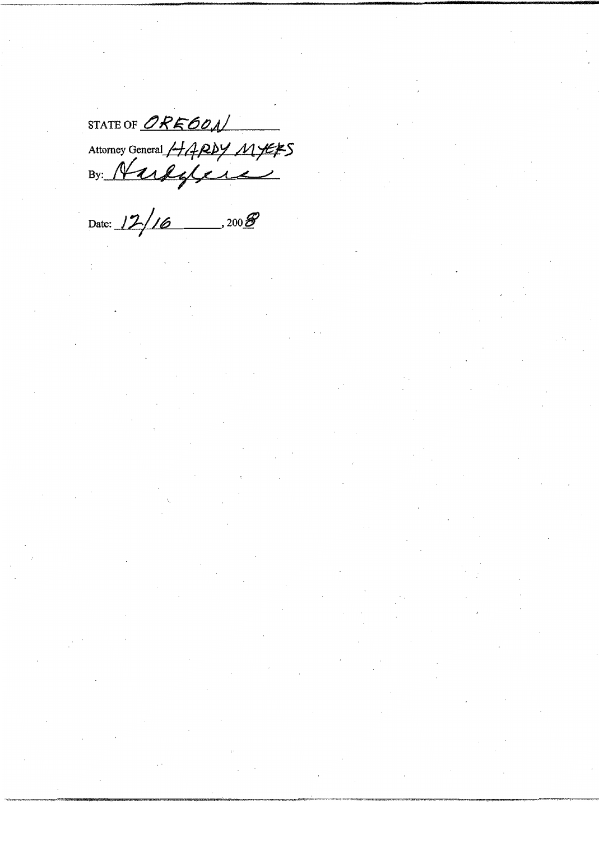STATE OF ORE 60N Attorney General HARDY MYERS

Date:  $12/16$  . 2008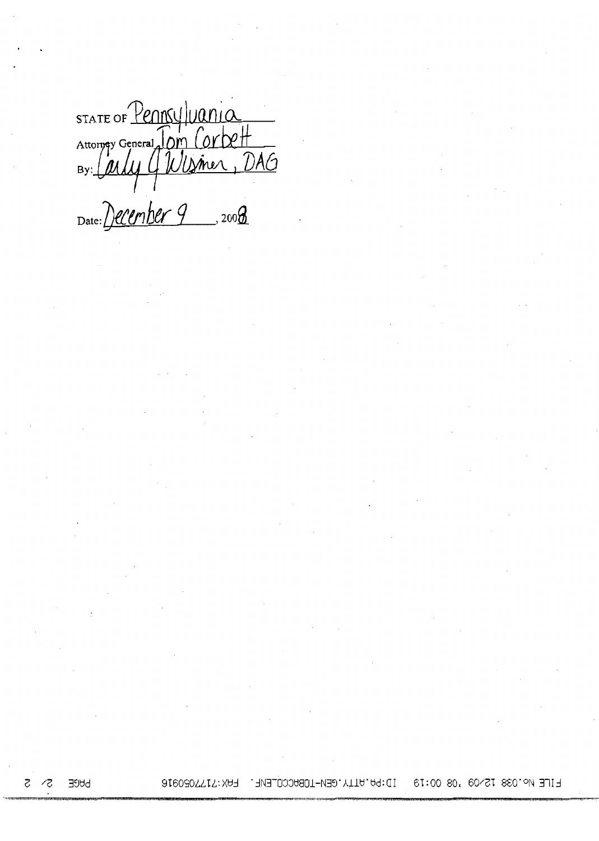STATE OF PENNSYLVANIA Date: December 9 2008

**PAGE** 5 - 72

FILE No.038 12/09 '08 00:19 1D:PA.ATTY.GEN-TOBACCO\_ENE. FAX:7177050916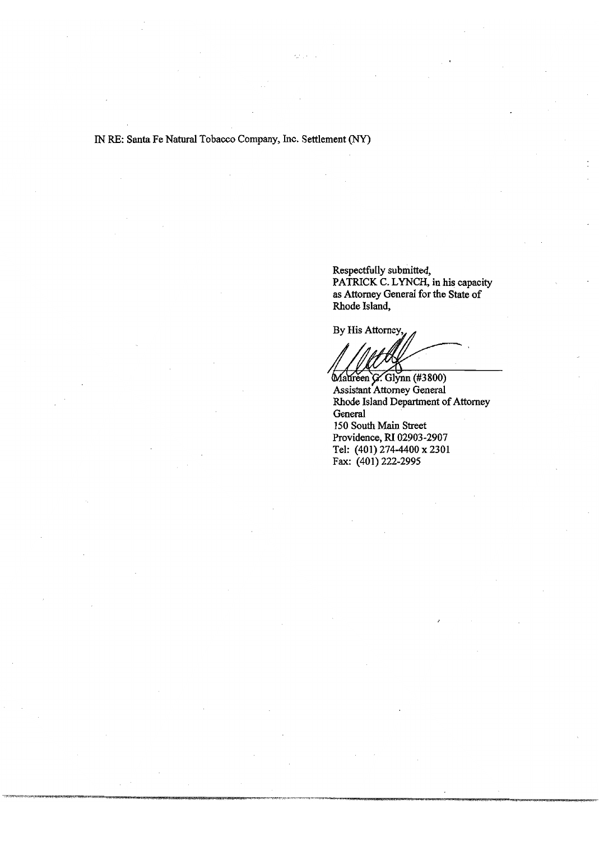IN RE: Santa Fe Natural Tobacco Company, Inc. Settlement (NY)

 $x = 1 - x$ 

Respectfully submitted, PATRICK C. LYNCH, in his capacity as Attorney General for the State of Rhode Island,

By His Attorney,

Maureen G. Glynn (#3800) Assistant Attorney General Rhode Island Department of Attorney General 150 South Main Street Providence, RI 02903-2907 Tel: (401) 274-4400 x 2301 Fax: (401) 222-2995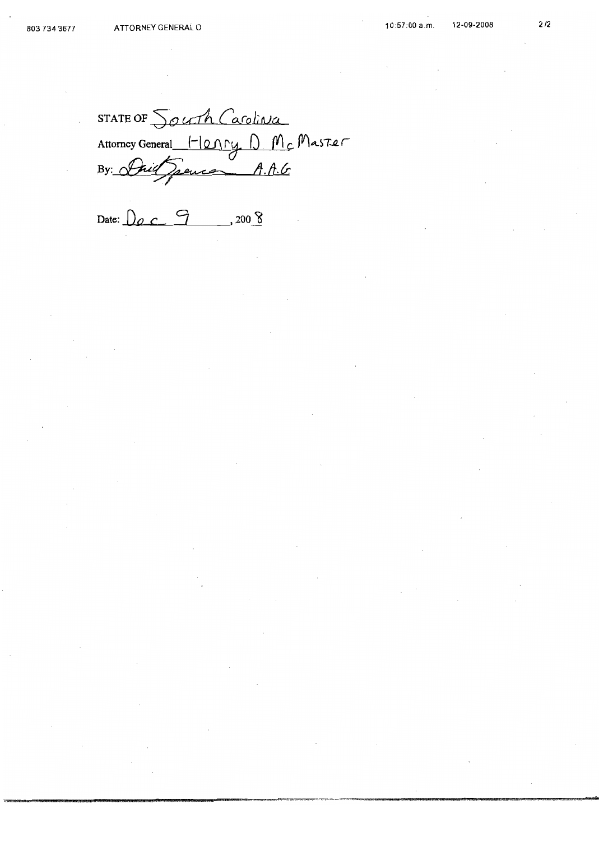STATE OF South Carolina<br>Attorney General Henry D. Mc Master

Date:  $\bigcup_{\emptyset}$   $\bigcirc$   $\bigcirc$  7 .200 8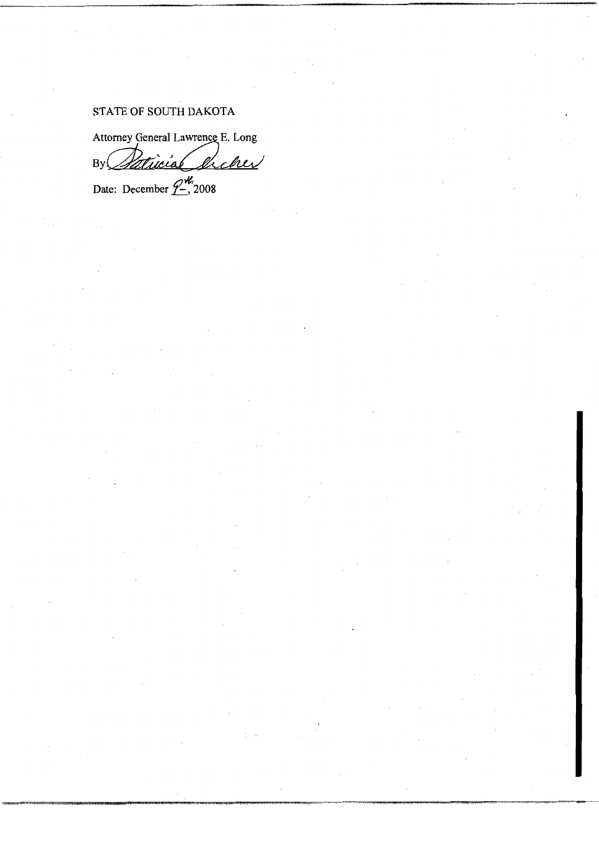# STATE OF SOUTH DAKOTA

Attorney General Lawrence E. Long

 $ByC$ Patricial encher

Date: December  $2\frac{M}{2}$  2008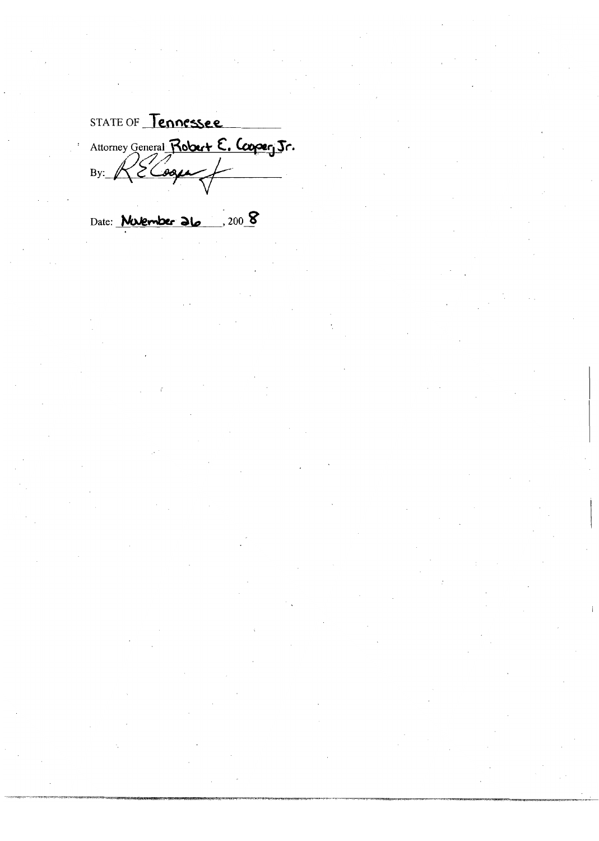STATE OF Tennessee Attorney General Robert E. Cooper, Jr.

Date: **Maternber 26** . 200 8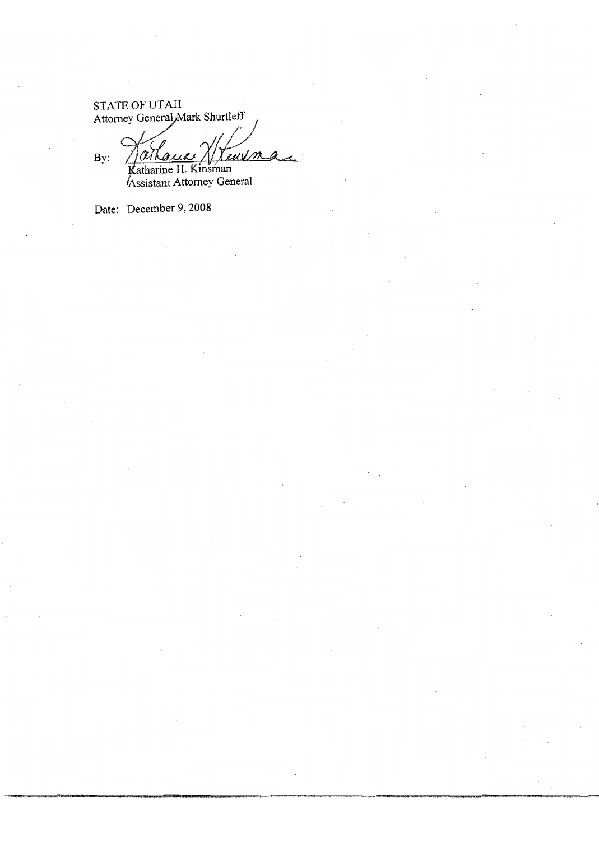STATE OF UTAH Attorney General, Mark Shurtleff

By: wilm insman

Katharine H. Kinsman<br>Assistant Attorney General

Date: December 9, 2008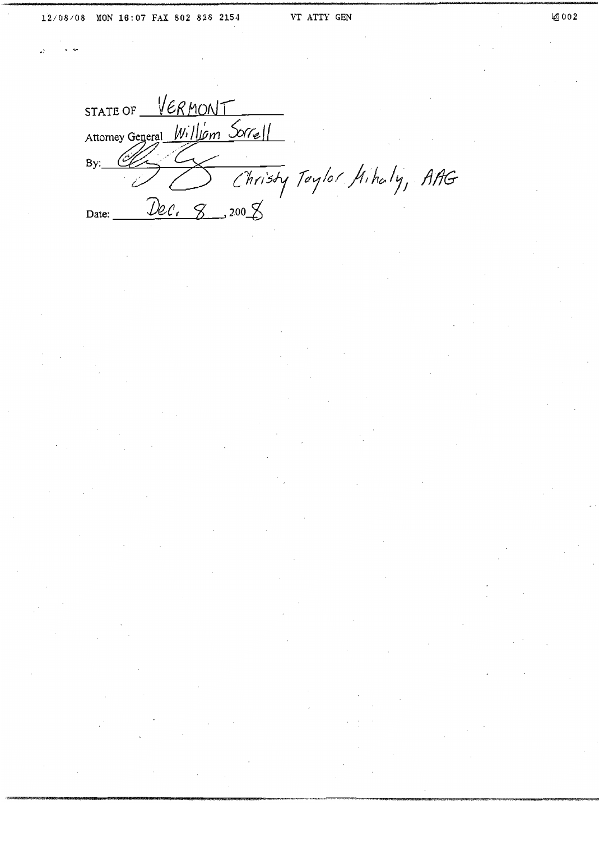STATE OF VERMONT Attomey General William Sorrell  $By:$ Christy Taylor Hihaly, AAG Dec. 8 \_\_ 200 g Date: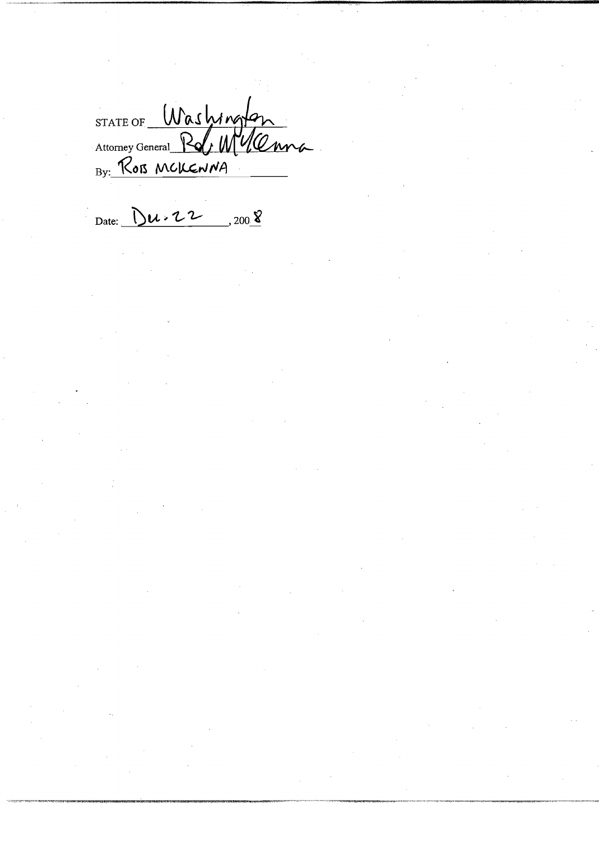STATE OF Washington

Date:  $Du \cdot 22$  $300\frac{8}{5}$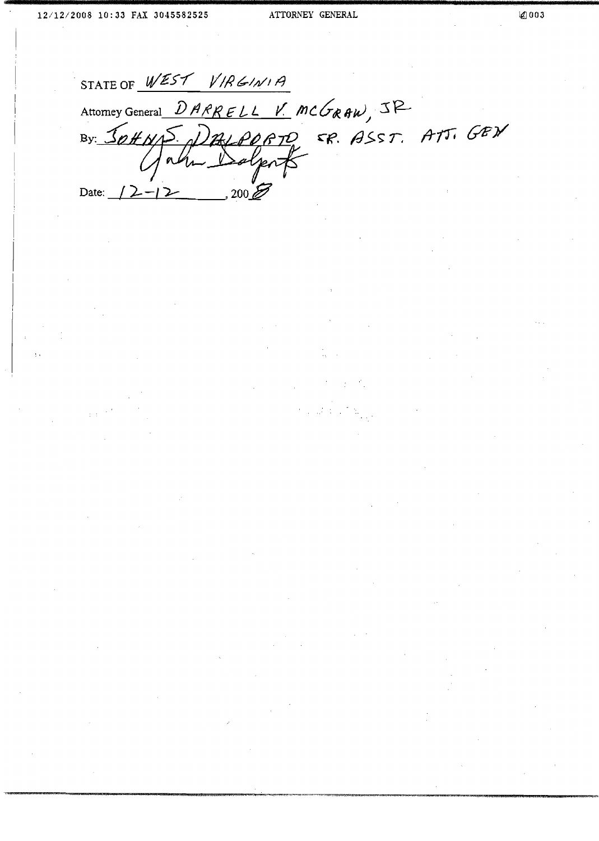STATE OF WEST VIRGINIA Attorney General DARRELL V. MCGRAW, JR By JOHNS DALPORTO FR. ASST. ATT. GEN  $200Z$ Date:  $\sqrt{2}$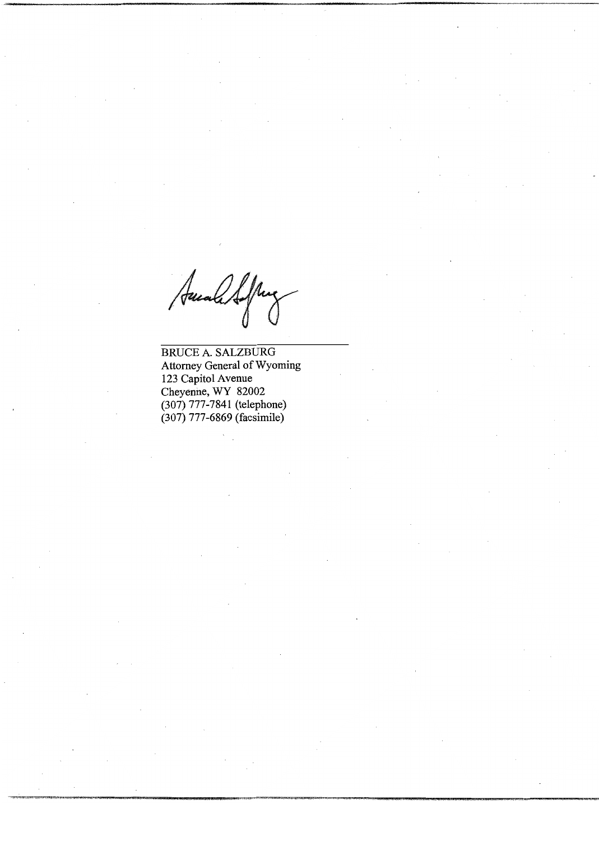Auch Softing

**BRUCE A. SALZBURG** Attorney General of Wyoming 123 Capitol Avenue Cheyenne, WY 82002 (307) 777-7841 (telephone)  $(307)$  777-6869 (facsimile)